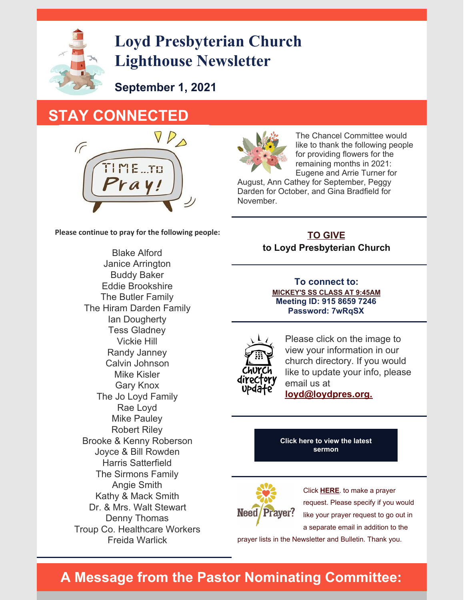

# **Loyd Presbyterian Church Lighthouse Newsletter**

**September 1, 2021**

## **STAY CONNECTED**



**Please continue to pray for the following people:**

Blake Alford Janice Arrington Buddy Baker Eddie Brookshire The Butler Family The Hiram Darden Family Ian Dougherty Tess Gladney Vickie Hill Randy Janney Calvin Johnson Mike Kisler Gary Knox The Jo Loyd Family Rae Loyd Mike Pauley Robert Riley Brooke & Kenny Roberson Joyce & Bill Rowden Harris Satterfield The Sirmons Family Angie Smith Kathy & Mack Smith Dr. & Mrs. Walt Stewart Denny Thomas Troup Co. Healthcare Workers Freida Warlick



The Chancel Committee would like to thank the following people for providing flowers for the remaining months in 2021: Eugene and Arrie Turner for

August, Ann Cathey for September, Peggy Darden for October, and Gina Bradfield for November.

### **TO [GIVE](https://goo.gl/96TjWd) to Loyd Presbyterian Church**

**To connect to: [MICKEY'S](https://zoom.us/j/91586597246?pwd=OHN2Y0lsTnMvanp4M2tKYXBoNldnQT09) SS CLASS AT 9:45AM Meeting ID: 915 8659 7246 Password: 7wRqSX**



Please click on the image to view your information in our church directory. If you would like to update your info, please email us at **[loyd@loydpres.org.](mailto:loyd@loydpres.org)**

**Click here to view the latest [sermon](https://www.facebook.com/groups/191742127573683)**



Click **[HERE](mailto:loyd@loydpres.org)**. to make a prayer request. Please specify if you would like your prayer request to go out in a separate email in addition to the

prayer lists in the Newsletter and Bulletin. Thank you.

### **A Message from the Pastor Nominating Committee:**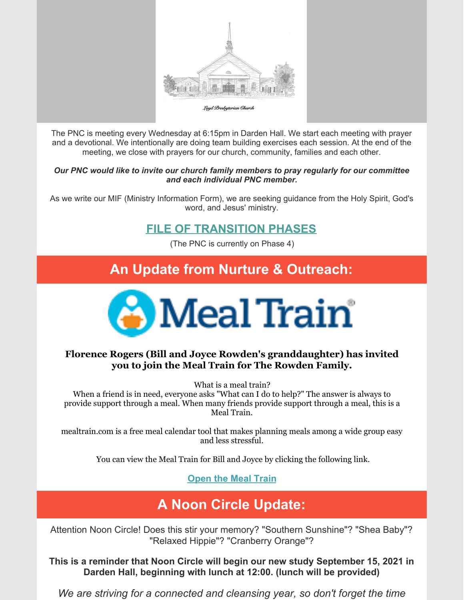

The PNC is meeting every Wednesday at 6:15pm in Darden Hall. We start each meeting with prayer and a devotional. We intentionally are doing team building exercises each session. At the end of the meeting, we close with prayers for our church, community, families and each other.

#### *Our PNC would like to invite our church family members to pray regularly for our committee and each individual PNC member.*

As we write our MIF (Ministry Information Form), we are seeking guidance from the Holy Spirit, God's word, and Jesus' ministry.

### **FILE OF [TRANSITION](https://183b5535-89f3-445c-894f-7f6da91bee0f.filesusr.com/ugd/73508a_f8e07bf83f5d4d1c9c3251a45b1f9bbc.pdf) PHASES**

(The PNC is currently on Phase 4)

### **An Update from Nurture & Outreach:**



### **Florence Rogers (Bill and Joyce Rowden's granddaughter) has invited you to join the Meal Train for The Rowden Family.**

What is a meal train?

When a friend is in need, everyone asks "What can I do to help?" The answer is always to provide support through a meal. When many friends provide support through a meal, this is a Meal Train.

mealtrain.com is a free meal calendar tool that makes planning meals among a wide group easy and less stressful.

You can view the Meal Train for Bill and Joyce by clicking the following link.

**[Open](https://www.mealtrain.com/trains/4qm797) the Meal Train**

## **A Noon Circle Update:**

Attention Noon Circle! Does this stir your memory? "Southern Sunshine"? "Shea Baby"? "Relaxed Hippie"? "Cranberry Orange"?

**This is a reminder that Noon Circle will begin our new study September 15, 2021 in Darden Hall, beginning with lunch at 12:00. (lunch will be provided)**

*We are striving for a connected and cleansing year, so don't forget the time*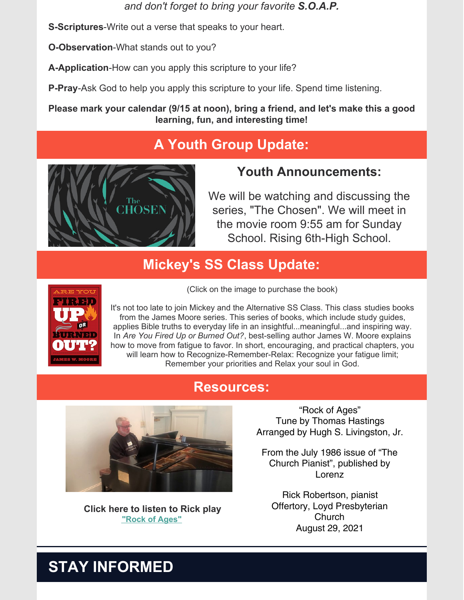*and don't forget to bring your favorite S.O.A.P.*

**S-Scriptures**-Write out a verse that speaks to your heart.

**O-Observation**-What stands out to you?

**A-Application**-How can you apply this scripture to your life?

**P-Pray**-Ask God to help you apply this scripture to your life. Spend time listening.

**Please mark your calendar (9/15 at noon), bring a friend, and let's make this a good learning, fun, and interesting time!**

## **A Youth Group Update:**



### **Youth Announcements:**

We will be watching and discussing the series, "The Chosen". We will meet in the movie room 9:55 am for Sunday School. Rising 6th-High School.

### **Mickey's SS Class Update:**



(Click on the image to purchase the book)

It's not too late to join Mickey and the Alternative SS Class. This class studies books from the James Moore series. This series of books, which include study guides, applies Bible truths to everyday life in an insightful...meaningful...and inspiring way. In *Are You Fired Up or Burned Out?*, best-selling author James W. Moore explains how to move from fatigue to favor. In short, encouraging, and practical chapters, you will learn how to Recognize-Remember-Relax: Recognize your fatigue limit; Remember your priorities and Relax your soul in God.

### **Resources:**



**Click here to listen to Rick play "Rock of [Ages"](https://www.youtube.com/watch?v=Hx8cCskEuwc)**

"Rock of Ages" Tune by Thomas Hastings Arranged by Hugh S. Livingston, Jr.

From the July 1986 issue of "The Church Pianist", published by Lorenz

Rick Robertson, pianist Offertory, Loyd Presbyterian **Church** August 29, 2021

# **STAY INFORMED**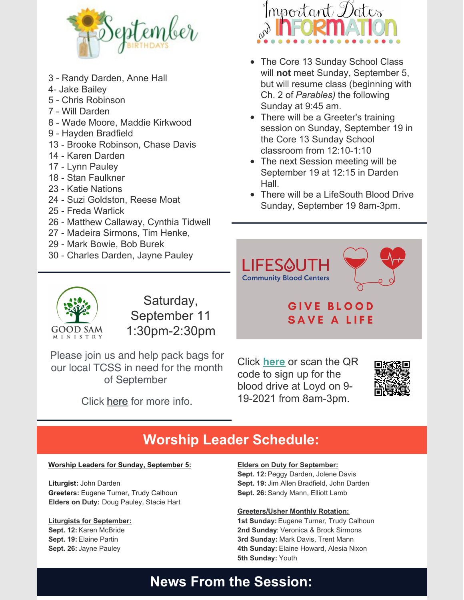

- 3 Randy Darden, Anne Hall
- 4- Jake Bailey
- 5 Chris Robinson
- 7 Will Darden
- 8 Wade Moore, Maddie Kirkwood
- 9 Hayden Bradfield
- 13 Brooke Robinson, Chase Davis
- 14 Karen Darden
- 17 Lynn Pauley
- 18 Stan Faulkner
- 23 Katie Nations
- 24 Suzi Goldston, Reese Moat
- 25 Freda Warlick
- 26 Matthew Callaway, Cynthia Tidwell
- 27 Madeira Sirmons, Tim Henke,
- 29 Mark Bowie, Bob Burek
- 30 Charles Darden, Jayne Pauley



- The Core 13 Sunday School Class will **not** meet Sunday, September 5, but will resume class (beginning with Ch. 2 of *Parables)* the following Sunday at 9:45 am.
- There will be a Greeter's training session on Sunday, September 19 in the Core 13 Sunday School classroom from 12:10-1:10
- The next Session meeting will be September 19 at 12:15 in Darden Hall.
- There will be a LifeSouth Blood Drive Sunday, September 19 8am-3pm.





Saturday, September 11 1:30pm-2:30pm

Please join us and help pack bags for our local TCSS in need for the month of September

Click [here](https://m.facebook.com/events/824857438221218?acontext=%7B%22source%22%3A%223%22%2C%22action_history%22%3A%22null%22%7D&aref=3) for more info.

### GIVE BLOOD **SAVE A LIFE**

Click **[here](https://donors.lifesouth.org/donor/schedules/drive_schedule/718365)** or scan the QR code to sign up for the blood drive at Loyd on 9- 19-2021 from 8am-3pm.



## **Worship Leader Schedule:**

#### **Worship Leaders for Sunday, September 5:**

**Liturgist:** John Darden **Greeters:** Eugene Turner, Trudy Calhoun **Elders on Duty:** Doug Pauley, Stacie Hart

### **Liturgists for September:**

**Sept. 12:** Karen McBride **Sept. 19:** Elaine Partin **Sept. 26:**Jayne Pauley

#### **Elders on Duty for September: Sept. 12:** Peggy Darden, Jolene Davis

**Sept. 19:**Jim Allen Bradfield, John Darden **Sept. 26:** Sandy Mann, Elliott Lamb

#### **Greeters/Usher Monthly Rotation:**

**1st Sunday:** Eugene Turner, Trudy Calhoun **2nd Sunday**: Veronica & Brock Sirmons **3rd Sunday:** Mark Davis, Trent Mann **4th Sunday:** Elaine Howard, Alesia Nixon **5th Sunday:** Youth

## **News From the Session:**